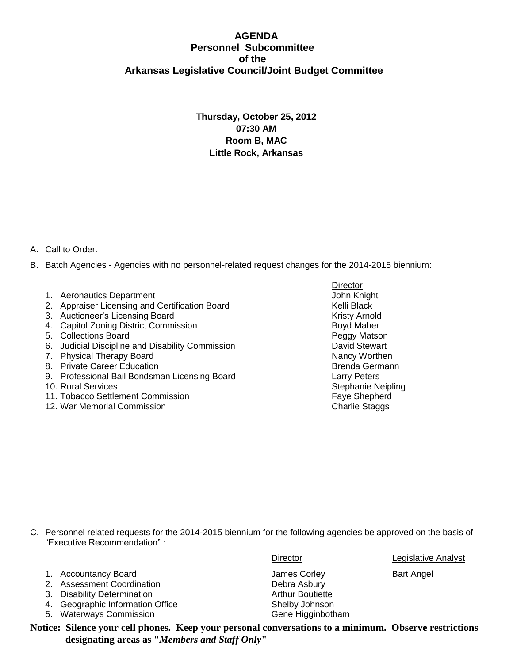## **AGENDA Personnel Subcommittee of the Arkansas Legislative Council/Joint Budget Committee**

**Thursday, October 25, 2012 07:30 AM Room B, MAC Little Rock, Arkansas**

**\_\_\_\_\_\_\_\_\_\_\_\_\_\_\_\_\_\_\_\_\_\_\_\_\_\_\_\_\_\_\_\_\_\_\_\_\_\_\_\_\_\_\_\_\_\_\_\_\_\_\_\_\_\_\_\_\_\_\_\_\_\_\_\_\_\_\_\_\_\_\_\_\_\_\_\_\_\_\_\_\_\_\_\_\_\_\_\_\_\_\_\_\_\_\_\_\_\_\_\_\_\_\_\_\_\_\_\_\_\_\_\_\_\_\_\_\_\_\_\_\_**

**\_\_\_\_\_\_\_\_\_\_\_\_\_\_\_\_\_\_\_\_\_\_\_\_\_\_\_\_\_\_\_\_\_\_\_\_\_\_\_\_\_\_\_\_\_\_\_\_\_\_\_\_\_\_\_\_\_\_\_\_\_\_\_\_\_\_\_\_\_\_\_\_\_\_\_\_\_\_\_\_\_\_\_\_\_\_\_\_\_\_\_\_\_\_\_\_\_\_\_\_\_\_\_\_\_\_\_\_\_\_\_\_\_\_\_\_\_\_\_\_\_**

**\_\_\_\_\_\_\_\_\_\_\_\_\_\_\_\_\_\_\_\_\_\_\_\_\_\_\_\_\_\_\_\_\_\_\_\_\_\_\_\_\_\_\_\_\_\_\_\_\_\_\_\_\_\_\_\_\_\_\_\_\_\_\_\_\_\_\_\_\_\_\_\_\_\_\_\_\_\_\_\_\_\_\_\_\_\_\_\_\_\_\_\_\_\_\_\_\_\_\_\_**

A. Call to Order.

B. Batch Agencies - Agencies with no personnel-related request changes for the 2014-2015 biennium:

- 1. Aeronautics Department **Accord Contract Contract Contract Contract Contract Contract Contract Contract Contract Contract Contract Contract Contract Contract Contract Contract Contract Contract Contract Contract Contract**
- 2. Appraiser Licensing and Certification Board **Kelli Black** Kelli Black
- 3. Auctioneer's Licensing Board Kristy Arnold Kristy Arnold
- 4. Capitol Zoning District Commission **Boya Naher** Boyd Maher
- 5. Collections Board Peggy Matson
- 6. Judicial Discipline and Disability Commission **David Stewart**
- 7. Physical Therapy Board Nancy Worthen
- 8. Private Career Education **Brenda Germann** Brenda Germann
- 9. Professional Bail Bondsman Licensing Board Larry Peters
- 
- 11. Tobacco Settlement Commission
- 12. War Memorial Commission Charlie Staggs Charlie Staggs

**Director** 10. Rural Services<br>
11. Tobacco Settlement Commission<br>
11. Tobacco Settlement Commission<br>
11. Tobacco Settlement Commission

- C. Personnel related requests for the 2014-2015 biennium for the following agencies be approved on the basis of "Executive Recommendation" :
	- 1. Accountancy Board **Communist Construction Construction** James Corley **Bart Angel**
	- 2. Assessment Coordination **Debra Asbury**
	- 3. Disability Determination **Arthur Boutiette** Arthur Boutiette
	- 4. Geographic Information Office Shelby Johnson
	- 5. Waterways Commission Gene Higginbotham

Director Legislative Analyst

**Notice: Silence your cell phones. Keep your personal conversations to a minimum. Observe restrictions designating areas as "***Members and Staff Only***"**